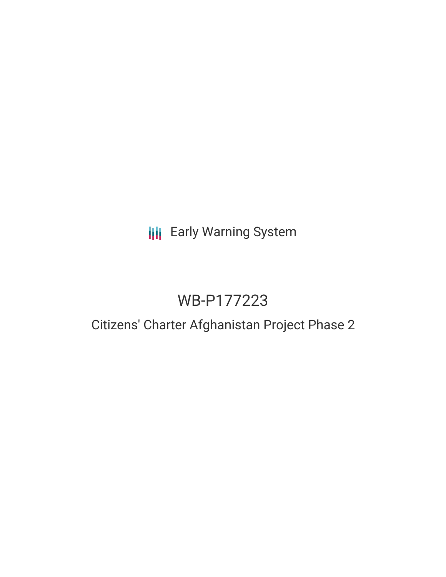# **III** Early Warning System

# WB-P177223

## Citizens' Charter Afghanistan Project Phase 2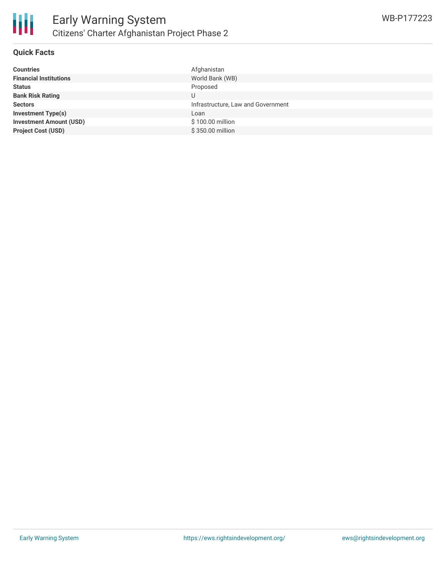

#### **Quick Facts**

| Afghanistan                        |
|------------------------------------|
| World Bank (WB)                    |
| Proposed                           |
| U                                  |
| Infrastructure, Law and Government |
| Loan                               |
| \$100.00 million                   |
| \$350.00 million                   |
|                                    |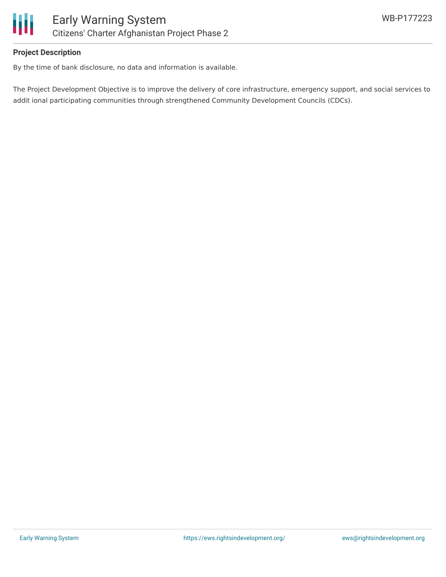

### **Project Description**

By the time of bank disclosure, no data and information is available.

The Project Development Objective is to improve the delivery of core infrastructure, emergency support, and social services to addit ional participating communities through strengthened Community Development Councils (CDCs).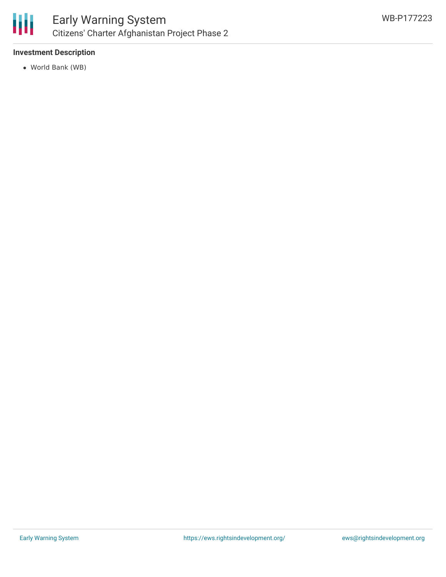

### **Investment Description**

World Bank (WB)